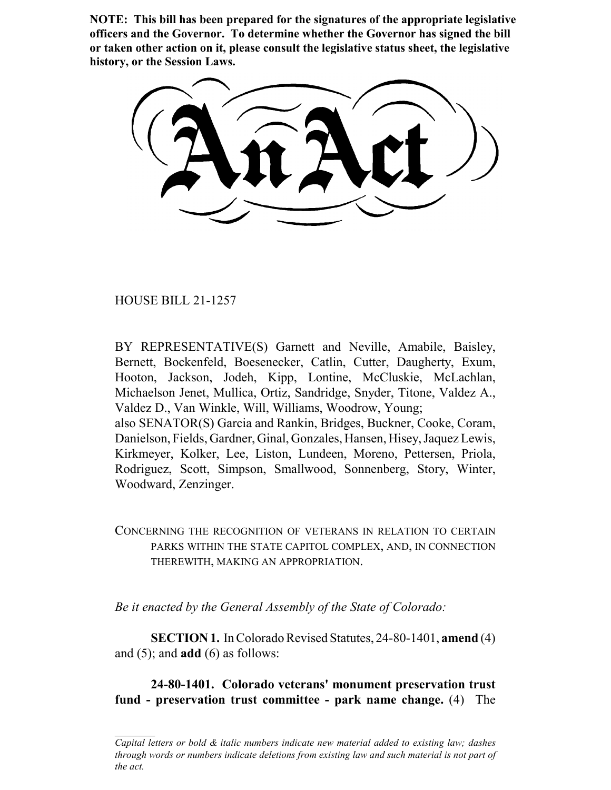**NOTE: This bill has been prepared for the signatures of the appropriate legislative officers and the Governor. To determine whether the Governor has signed the bill or taken other action on it, please consult the legislative status sheet, the legislative history, or the Session Laws.**

HOUSE BILL 21-1257

BY REPRESENTATIVE(S) Garnett and Neville, Amabile, Baisley, Bernett, Bockenfeld, Boesenecker, Catlin, Cutter, Daugherty, Exum, Hooton, Jackson, Jodeh, Kipp, Lontine, McCluskie, McLachlan, Michaelson Jenet, Mullica, Ortiz, Sandridge, Snyder, Titone, Valdez A., Valdez D., Van Winkle, Will, Williams, Woodrow, Young; also SENATOR(S) Garcia and Rankin, Bridges, Buckner, Cooke, Coram,

Danielson, Fields, Gardner, Ginal, Gonzales, Hansen, Hisey, Jaquez Lewis, Kirkmeyer, Kolker, Lee, Liston, Lundeen, Moreno, Pettersen, Priola, Rodriguez, Scott, Simpson, Smallwood, Sonnenberg, Story, Winter, Woodward, Zenzinger.

CONCERNING THE RECOGNITION OF VETERANS IN RELATION TO CERTAIN PARKS WITHIN THE STATE CAPITOL COMPLEX, AND, IN CONNECTION THEREWITH, MAKING AN APPROPRIATION.

*Be it enacted by the General Assembly of the State of Colorado:*

**SECTION 1.** In Colorado Revised Statutes, 24-80-1401, **amend** (4) and (5); and **add** (6) as follows:

**24-80-1401. Colorado veterans' monument preservation trust fund - preservation trust committee - park name change.** (4) The

*Capital letters or bold & italic numbers indicate new material added to existing law; dashes through words or numbers indicate deletions from existing law and such material is not part of the act.*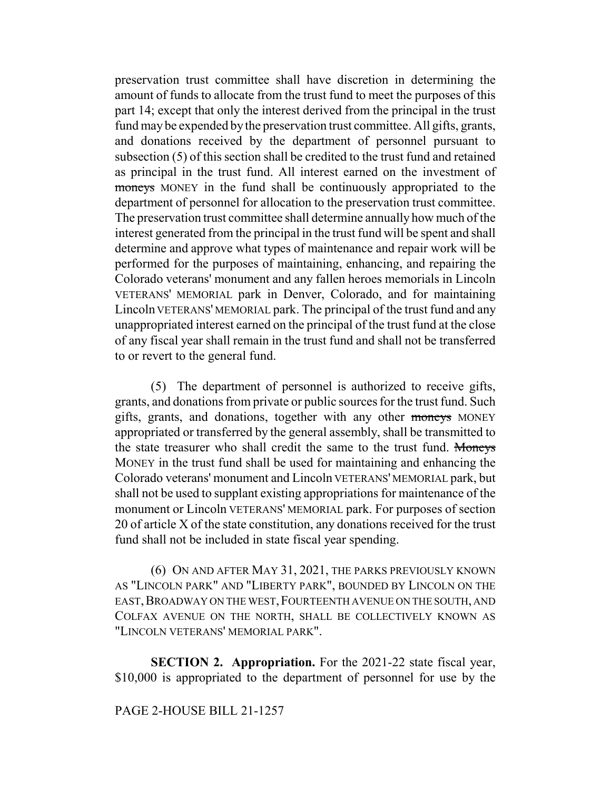preservation trust committee shall have discretion in determining the amount of funds to allocate from the trust fund to meet the purposes of this part 14; except that only the interest derived from the principal in the trust fund may be expended by the preservation trust committee. All gifts, grants, and donations received by the department of personnel pursuant to subsection (5) of this section shall be credited to the trust fund and retained as principal in the trust fund. All interest earned on the investment of moneys MONEY in the fund shall be continuously appropriated to the department of personnel for allocation to the preservation trust committee. The preservation trust committee shall determine annually how much of the interest generated from the principal in the trust fund will be spent and shall determine and approve what types of maintenance and repair work will be performed for the purposes of maintaining, enhancing, and repairing the Colorado veterans' monument and any fallen heroes memorials in Lincoln VETERANS' MEMORIAL park in Denver, Colorado, and for maintaining Lincoln VETERANS' MEMORIAL park. The principal of the trust fund and any unappropriated interest earned on the principal of the trust fund at the close of any fiscal year shall remain in the trust fund and shall not be transferred to or revert to the general fund.

(5) The department of personnel is authorized to receive gifts, grants, and donations from private or public sources for the trust fund. Such gifts, grants, and donations, together with any other moneys MONEY appropriated or transferred by the general assembly, shall be transmitted to the state treasurer who shall credit the same to the trust fund. Moneys MONEY in the trust fund shall be used for maintaining and enhancing the Colorado veterans' monument and Lincoln VETERANS' MEMORIAL park, but shall not be used to supplant existing appropriations for maintenance of the monument or Lincoln VETERANS' MEMORIAL park. For purposes of section 20 of article X of the state constitution, any donations received for the trust fund shall not be included in state fiscal year spending.

(6) ON AND AFTER MAY 31, 2021, THE PARKS PREVIOUSLY KNOWN AS "LINCOLN PARK" AND "LIBERTY PARK", BOUNDED BY LINCOLN ON THE EAST, BROADWAY ON THE WEST, FOURTEENTH AVENUE ON THE SOUTH, AND COLFAX AVENUE ON THE NORTH, SHALL BE COLLECTIVELY KNOWN AS "LINCOLN VETERANS' MEMORIAL PARK".

**SECTION 2. Appropriation.** For the 2021-22 state fiscal year, \$10,000 is appropriated to the department of personnel for use by the

## PAGE 2-HOUSE BILL 21-1257